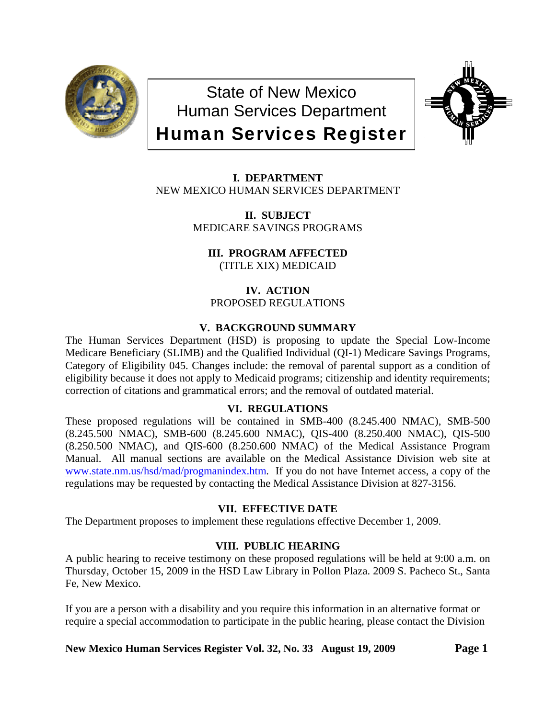

State of New Mexico Human Services Department Human Services Register



**I. DEPARTMENT** NEW MEXICO HUMAN SERVICES DEPARTMENT

> **II. SUBJECT** MEDICARE SAVINGS PROGRAMS

**III. PROGRAM AFFECTED** (TITLE XIX) MEDICAID

**IV. ACTION** PROPOSED REGULATIONS

## **V. BACKGROUND SUMMARY**

The Human Services Department (HSD) is proposing to update the Special Low-Income Medicare Beneficiary (SLIMB) and the Qualified Individual (QI-1) Medicare Savings Programs, Category of Eligibility 045. Changes include: the removal of parental support as a condition of eligibility because it does not apply to Medicaid programs; citizenship and identity requirements; correction of citations and grammatical errors; and the removal of outdated material.

#### **VI. REGULATIONS**

These proposed regulations will be contained in SMB-400 (8.245.400 NMAC), SMB-500 (8.245.500 NMAC), SMB-600 (8.245.600 NMAC), QIS-400 (8.250.400 NMAC), QIS-500 (8.250.500 NMAC), and QIS-600 (8.250.600 NMAC) of the Medical Assistance Program Manual. All manual sections are available on the Medical Assistance Division web site at [www.state.nm.us/hsd/mad/progmanindex.htm](http://www.state.nm.us/hsd/mad/progmanindex.htm). If you do not have Internet access, a copy of the regulations may be requested by contacting the Medical Assistance Division at 827-3156.

## **VII. EFFECTIVE DATE**

The Department proposes to implement these regulations effective December 1, 2009.

## **VIII. PUBLIC HEARING**

A public hearing to receive testimony on these proposed regulations will be held at 9:00 a.m. on Thursday, October 15, 2009 in the HSD Law Library in Pollon Plaza. 2009 S. Pacheco St., Santa Fe, New Mexico.

If you are a person with a disability and you require this information in an alternative format or require a special accommodation to participate in the public hearing, please contact the Division

**New Mexico Human Services Register Vol. 32, No. 33 August 19, 2009 Page 1**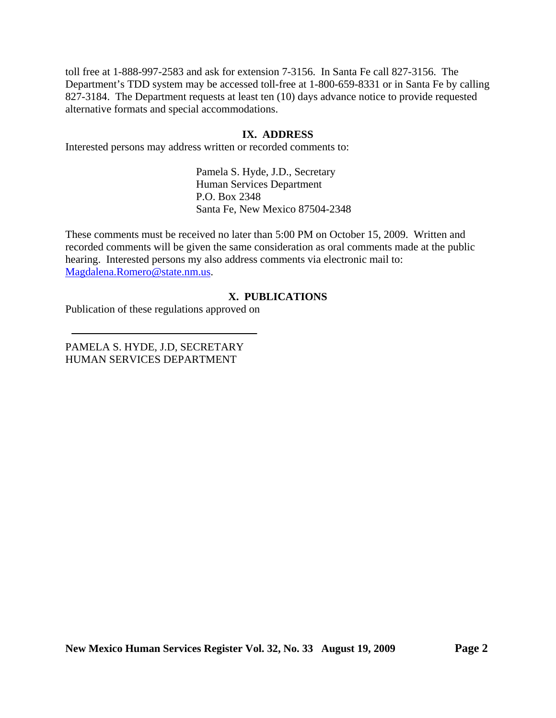toll free at 1-888-997-2583 and ask for extension 7-3156. In Santa Fe call 827-3156. The Department's TDD system may be accessed toll-free at 1-800-659-8331 or in Santa Fe by calling 827-3184. The Department requests at least ten (10) days advance notice to provide requested alternative formats and special accommodations.

#### **IX. ADDRESS**

Interested persons may address written or recorded comments to:

Pamela S. Hyde, J.D., Secretary Human Services Department P.O. Box 2348 Santa Fe, New Mexico 87504-2348

These comments must be received no later than 5:00 PM on October 15, 2009. Written and recorded comments will be given the same consideration as oral comments made at the public hearing. Interested persons my also address comments via electronic mail to: [Magdalena.Romero@state.nm.us.](mailto:Magdalena.Romero@state.nm.us)

#### **X. PUBLICATIONS**

Publication of these regulations approved on

PAMELA S. HYDE, J.D, SECRETARY HUMAN SERVICES DEPARTMENT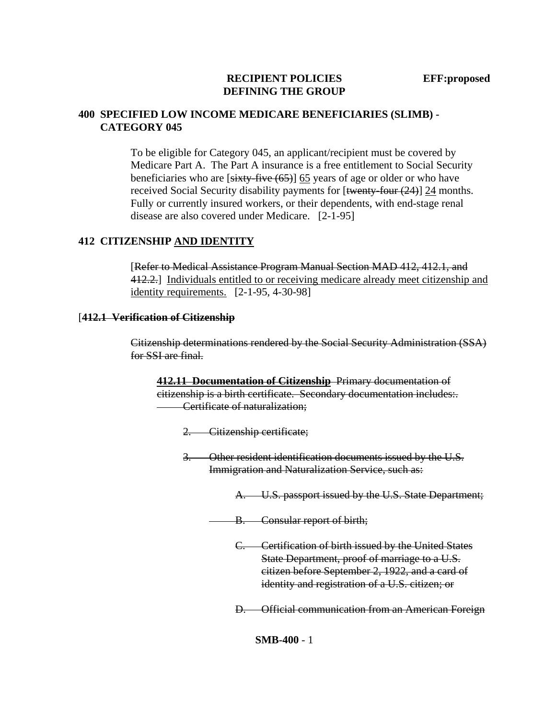#### **RECIPIENT POLICIES EFF:proposed DEFINING THE GROUP**

#### **400 SPECIFIED LOW INCOME MEDICARE BENEFICIARIES (SLIMB) - CATEGORY 045**

To be eligible for Category 045, an applicant/recipient must be covered by Medicare Part A. The Part A insurance is a free entitlement to Social Security beneficiaries who are  $[sixty-five (65)]$  65 years of age or older or who have received Social Security disability payments for  $[\frac{\text{twenty-four} (24)}{24}]$  24 months. Fully or currently insured workers, or their dependents, with end-stage renal disease are also covered under Medicare. [2-1-95]

#### **412 CITIZENSHIP AND IDENTITY**

[Refer to Medical Assistance Program Manual Section MAD 412, 412.1, and 412.2.] Individuals entitled to or receiving medicare already meet citizenship and identity requirements. [2-1-95, 4-30-98]

#### [**412.1 Verification of Citizenship**

Citizenship determinations rendered by the Social Security Administration (SSA) for SSI are final.

**412.11 Documentation of Citizenship** Primary documentation of citizenship is a birth certificate. Secondary documentation includes:. Certificate of naturalization;

2. Citizenship certificate;

3. Other resident identification documents issued by the U.S. Immigration and Naturalization Service, such as:

A. U.S. passport issued by the U.S. State Department;

- B. Consular report of birth;
	- C. Certification of birth issued by the United States State Department, proof of marriage to a U.S. citizen before September 2, 1922, and a card of identity and registration of a U.S. citizen; or

D. Official communication from an American Foreign

**SMB-400** - 1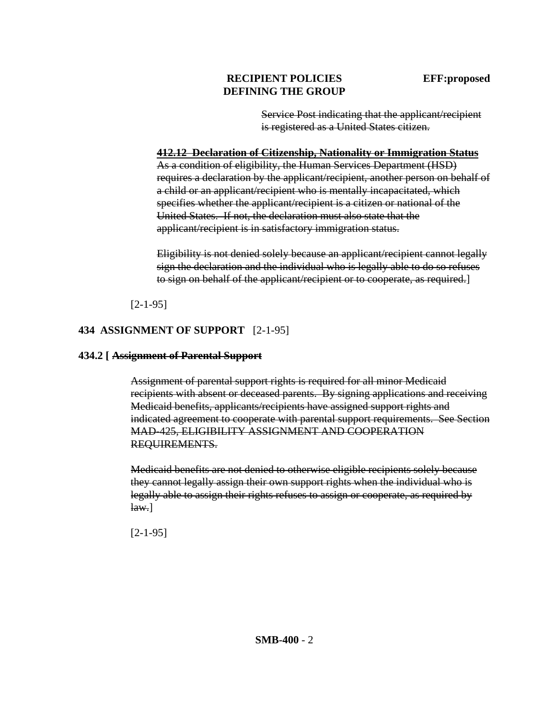## **RECIPIENT POLICIES** EFF:proposed **DEFINING THE GROUP**

Service Post indicating that the applicant/recipient is registered as a United States citizen.

#### **412.12 Declaration of Citizenship, Nationality or Immigration Status**

As a condition of eligibility, the Human Services Department (HSD) requires a declaration by the applicant/recipient, another person on behalf of a child or an applicant/recipient who is mentally incapacitated, which specifies whether the applicant/recipient is a citizen or national of the United States. If not, the declaration must also state that the applicant/recipient is in satisfactory immigration status.

Eligibility is not denied solely because an applicant/recipient cannot legally sign the declaration and the individual who is legally able to do so refuses to sign on behalf of the applicant/recipient or to cooperate, as required.]

[2-1-95]

## **434 ASSIGNMENT OF SUPPORT** [2-1-95]

#### **434.2 [ Assignment of Parental Support**

Assignment of parental support rights is required for all minor Medicaid recipients with absent or deceased parents. By signing applications and receiving Medicaid benefits, applicants/recipients have assigned support rights and indicated agreement to cooperate with parental support requirements. See Section MAD-425, ELIGIBILITY ASSIGNMENT AND COOPERATION REQUIREMENTS.

Medicaid benefits are not denied to otherwise eligible recipients solely because they cannot legally assign their own support rights when the individual who is legally able to assign their rights refuses to assign or cooperate, as required by  $\text{law.}$ ]

[2-1-95]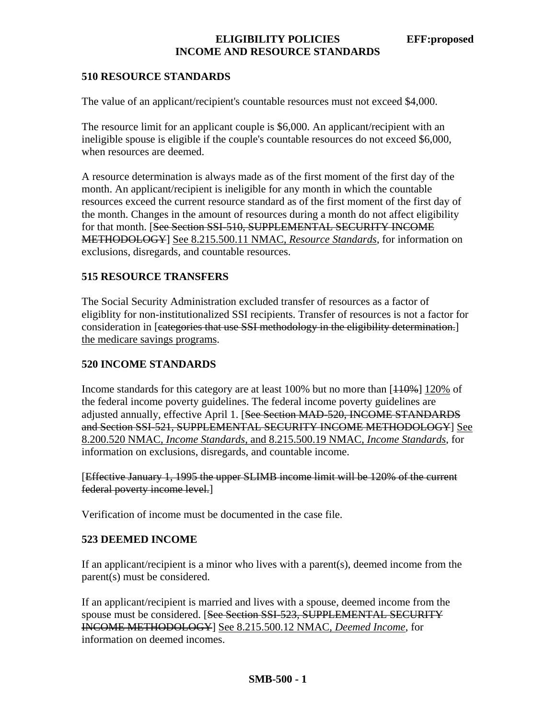## **ELIGIBILITY POLICIES EFF:proposed INCOME AND RESOURCE STANDARDS**

#### **510 RESOURCE STANDARDS**

The value of an applicant/recipient's countable resources must not exceed \$4,000.

The resource limit for an applicant couple is \$6,000. An applicant/recipient with an ineligible spouse is eligible if the couple's countable resources do not exceed \$6,000, when resources are deemed.

A resource determination is always made as of the first moment of the first day of the month. An applicant/recipient is ineligible for any month in which the countable resources exceed the current resource standard as of the first moment of the first day of the month. Changes in the amount of resources during a month do not affect eligibility for that month. [See Section SSI-510, SUPPLEMENTAL SECURITY INCOME METHODOLOGY] See 8.215.500.11 NMAC, *Resource Standards*, for information on exclusions, disregards, and countable resources.

## **515 RESOURCE TRANSFERS**

The Social Security Administration excluded transfer of resources as a factor of eligiblity for non-institutionalized SSI recipients. Transfer of resources is not a factor for consideration in [eategories that use SSI methodology in the eligibility determination.] the medicare savings programs.

#### **520 INCOME STANDARDS**

Income standards for this category are at least 100% but no more than  $[110\%]$  120% of the federal income poverty guidelines. The federal income poverty guidelines are adjusted annually, effective April 1. [See Section MAD-520, INCOME STANDARDS and Section SSI-521, SUPPLEMENTAL SECURITY INCOME METHODOLOGY] See 8.200.520 NMAC, *Income Standards*, and 8.215.500.19 NMAC, *Income Standards*, for information on exclusions, disregards, and countable income.

[Effective January 1, 1995 the upper SLIMB income limit will be 120% of the current federal poverty income level.]

Verification of income must be documented in the case file.

#### **523 DEEMED INCOME**

If an applicant/recipient is a minor who lives with a parent(s), deemed income from the parent(s) must be considered.

If an applicant/recipient is married and lives with a spouse, deemed income from the spouse must be considered. [See Section SSI-523, SUPPLEMENTAL SECURITY INCOME METHODOLOGY] See 8.215.500.12 NMAC, *Deemed Income*, for information on deemed incomes.

#### **SMB-500 - 1**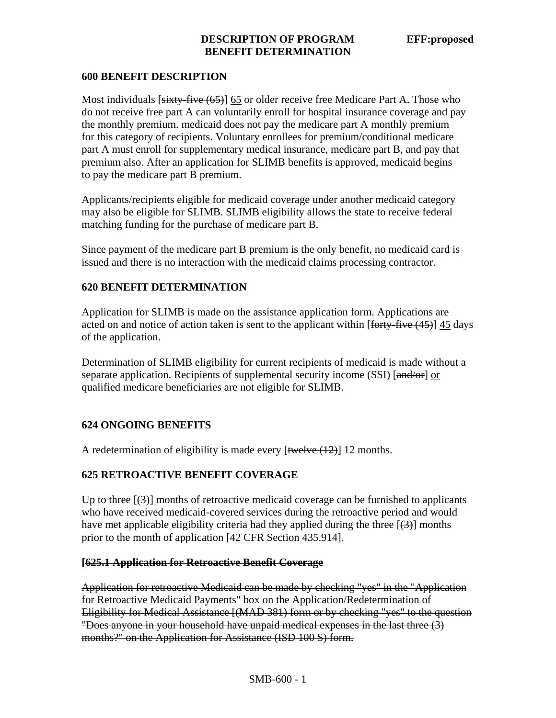### **DESCRIPTION OF PROGRAM EFF:proposed BENEFIT DETERMINATION**

### **600 BENEFIT DESCRIPTION**

Most individuals [sixty-five (65)] 65 or older receive free Medicare Part A. Those who do not receive free part A can voluntarily enroll for hospital insurance coverage and pay the monthly premium. medicaid does not pay the medicare part A monthly premium for this category of recipients. Voluntary enrollees for premium/conditional medicare part A must enroll for supplementary medical insurance, medicare part B, and pay that premium also. After an application for SLIMB benefits is approved, medicaid begins to pay the medicare part B premium.

Applicants/recipients eligible for medicaid coverage under another medicaid category may also be eligible for SLIMB. SLIMB eligibility allows the state to receive federal matching funding for the purchase of medicare part B.

Since payment of the medicare part B premium is the only benefit, no medicaid card is issued and there is no interaction with the medicaid claims processing contractor.

### **620 BENEFIT DETERMINATION**

Application for SLIMB is made on the assistance application form. Applications are acted on and notice of action taken is sent to the applicant within [forty-five (45)] 45 days of the application.

Determination of SLIMB eligibility for current recipients of medicaid is made without a separate application. Recipients of supplemental security income (SSI) [and/or] or qualified medicare beneficiaries are not eligible for SLIMB.

## **624 ONGOING BENEFITS**

A redetermination of eligibility is made every  $[\text{twelve}(12)]$  12 months.

## **625 RETROACTIVE BENEFIT COVERAGE**

Up to three  $[\frac{1}{3}]$  months of retroactive medicaid coverage can be furnished to applicants who have received medicaid-covered services during the retroactive period and would have met applicable eligibility criteria had they applied during the three  $[4]$  months prior to the month of application [42 CFR Section 435.914].

#### **[625.1 Application for Retroactive Benefit Coverage**

Application for retroactive Medicaid can be made by checking "yes" in the "Application for Retroactive Medicaid Payments" box on the Application/Redetermination of Eligibility for Medical Assistance [(MAD 381) form or by checking "yes" to the question "Does anyone in your household have unpaid medical expenses in the last three (3) months?" on the Application for Assistance (ISD 100 S) form.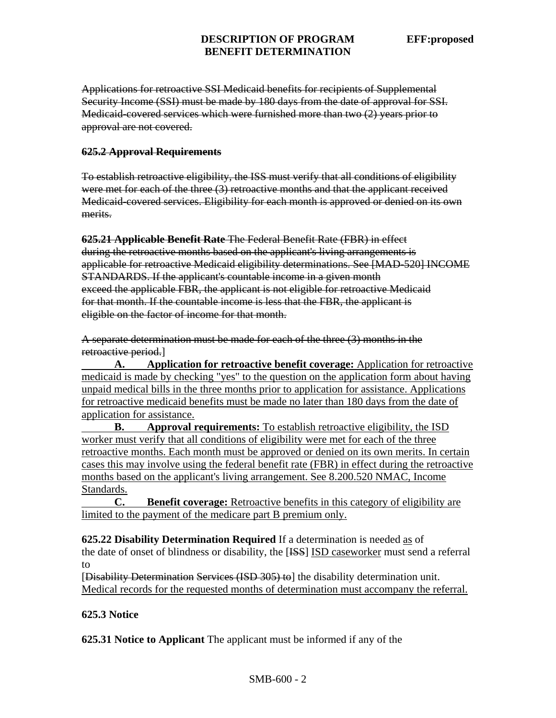#### **DESCRIPTION OF PROGRAM EFF:proposed BENEFIT DETERMINATION**

Applications for retroactive SSI Medicaid benefits for recipients of Supplemental Security Income (SSI) must be made by 180 days from the date of approval for SSI. Medicaid-covered services which were furnished more than two (2) years prior to approval are not covered.

#### **625.2 Approval Requirements**

To establish retroactive eligibility, the ISS must verify that all conditions of eligibility were met for each of the three (3) retroactive months and that the applicant received Medicaid-covered services. Eligibility for each month is approved or denied on its own merits.

**625.21 Applicable Benefit Rate** The Federal Benefit Rate (FBR) in effect during the retroactive months based on the applicant's living arrangements is applicable for retroactive Medicaid eligibility determinations. See [MAD-520] INCOME STANDARDS. If the applicant's countable income in a given month exceed the applicable FBR, the applicant is not eligible for retroactive Medicaid for that month. If the countable income is less that the FBR, the applicant is eligible on the factor of income for that month.

A separate determination must be made for each of the three (3) months in the retroactive period.]

**A. Application for retroactive benefit coverage:** Application for retroactive medicaid is made by checking "yes" to the question on the application form about having unpaid medical bills in the three months prior to application for assistance. Applications for retroactive medicaid benefits must be made no later than 180 days from the date of application for assistance.

**B.** Approval requirements: To establish retroactive eligibility, the ISD worker must verify that all conditions of eligibility were met for each of the three retroactive months. Each month must be approved or denied on its own merits. In certain cases this may involve using the federal benefit rate (FBR) in effect during the retroactive months based on the applicant's living arrangement. See 8.200.520 NMAC, Income Standards.

 **C. Benefit coverage:** Retroactive benefits in this category of eligibility are limited to the payment of the medicare part B premium only.

**625.22 Disability Determination Required** If a determination is needed as of the date of onset of blindness or disability, the [ISS] ISD caseworker must send a referral to

[Disability Determination Services (ISD 305) to] the disability determination unit. Medical records for the requested months of determination must accompany the referral.

## **625.3 Notice**

**625.31 Notice to Applicant** The applicant must be informed if any of the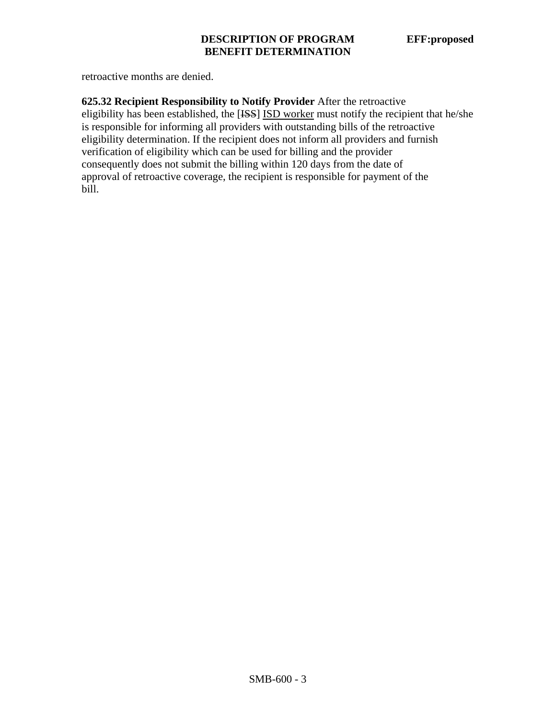retroactive months are denied.

**625.32 Recipient Responsibility to Notify Provider** After the retroactive eligibility has been established, the [ISS] ISD worker must notify the recipient that he/she is responsible for informing all providers with outstanding bills of the retroactive eligibility determination. If the recipient does not inform all providers and furnish verification of eligibility which can be used for billing and the provider consequently does not submit the billing within 120 days from the date of approval of retroactive coverage, the recipient is responsible for payment of the bill.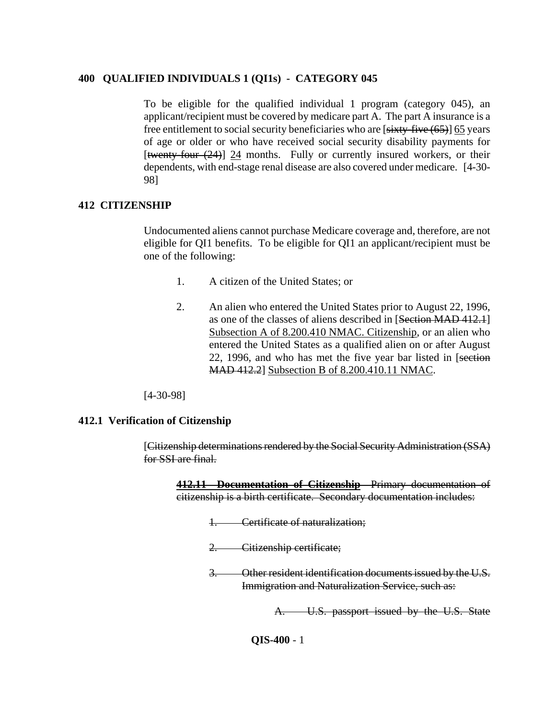#### **400 QUALIFIED INDIVIDUALS 1 (QI1s) - CATEGORY 045**

To be eligible for the qualified individual 1 program (category 045), an applicant/recipient must be covered by medicare part A. The part A insurance is a free entitlement to social security beneficiaries who are [sixty-five (65)] 65 years of age or older or who have received social security disability payments for [twenty-four (24)] 24 months. Fully or currently insured workers, or their dependents, with end-stage renal disease are also covered under medicare. [4-30- 98]

#### **412 CITIZENSHIP**

Undocumented aliens cannot purchase Medicare coverage and, therefore, are not eligible for QI1 benefits. To be eligible for QI1 an applicant/recipient must be one of the following:

- 1. A citizen of the United States; or
- 2. An alien who entered the United States prior to August 22, 1996, as one of the classes of aliens described in [Section MAD 412.1] Subsection A of 8.200.410 NMAC. Citizenship, or an alien who entered the United States as a qualified alien on or after August 22, 1996, and who has met the five year bar listed in [section] MAD 412.2] Subsection B of 8.200.410.11 NMAC.

[4-30-98]

#### **412.1 Verification of Citizenship**

[Citizenship determinations rendered by the Social Security Administration (SSA) for SSI are final.

**412.11 Documentation of Citizenship** Primary documentation of citizenship is a birth certificate. Secondary documentation includes:

- 1. Certificate of naturalization;
- 2. Citizenship certificate;
- 3. Other resident identification documents issued by the U.S. Immigration and Naturalization Service, such as:

A. U.S. passport issued by the U.S. State

**QIS-400** - 1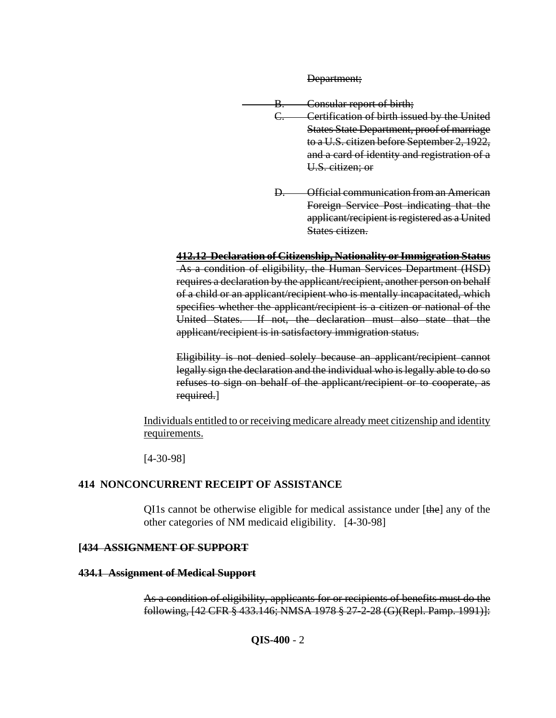Department;

B. Consular report of birth;

- C. Certification of birth issued by the United States State Department, proof of marriage to a U.S. citizen before September 2, 1922, and a card of identity and registration of a U.S. citizen; or
- D. Official communication from an American Foreign Service Post indicating that the applicant/recipient is registered as a United States citizen.

**412.12 Declaration of Citizenship, Nationality or Immigration Status** As a condition of eligibility, the Human Services Department (HSD) requires a declaration by the applicant/recipient, another person on behalf of a child or an applicant/recipient who is mentally incapacitated, which specifies whether the applicant/recipient is a citizen or national of the United States. If not, the declaration must also state that the applicant/recipient is in satisfactory immigration status.

Eligibility is not denied solely because an applicant/recipient cannot legally sign the declaration and the individual who is legally able to do so refuses to sign on behalf of the applicant/recipient or to cooperate, as required.]

Individuals entitled to or receiving medicare already meet citizenship and identity requirements.

[4-30-98]

# **414 NONCONCURRENT RECEIPT OF ASSISTANCE**

QI1s cannot be otherwise eligible for medical assistance under [the] any of the other categories of NM medicaid eligibility. [4-30-98]

# **[434 ASSIGNMENT OF SUPPORT**

# **434.1 Assignment of Medical Support**

As a condition of eligibility, applicants for or recipients of benefits must do the following, [42 CFR § 433.146; NMSA 1978 § 27-2-28 (G)(Repl. Pamp. 1991)]: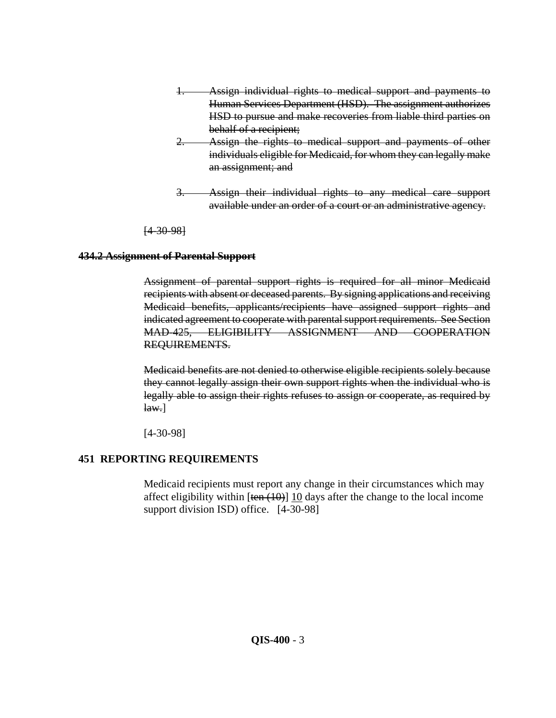- Assign individual rights to medical support and payments to Human Services Department (HSD). The assignment authorizes HSD to pursue and make recoveries from liable third parties on behalf of a recipient;
- 2. Assign the rights to medical support and payments of other individuals eligible for Medicaid, for whom they can legally make an assignment; and
- 3. Assign their individual rights to any medical care support available under an order of a court or an administrative agency.

[4-30-98]

# **434.2 Assignment of Parental Support**

Assignment of parental support rights is required for all minor Medicaid recipients with absent or deceased parents. By signing applications and receiving Medicaid benefits, applicants/recipients have assigned support rights and indicated agreement to cooperate with parental support requirements. See Section MAD-425, ELIGIBILITY ASSIGNMENT AND COOPERATION REQUIREMENTS.

Medicaid benefits are not denied to otherwise eligible recipients solely because they cannot legally assign their own support rights when the individual who is legally able to assign their rights refuses to assign or cooperate, as required by  $\text{law.}$ ]

[4-30-98]

# **451 REPORTING REQUIREMENTS**

Medicaid recipients must report any change in their circumstances which may affect eligibility within  $[\tan(10)]$  10 days after the change to the local income support division ISD) office. [4-30-98]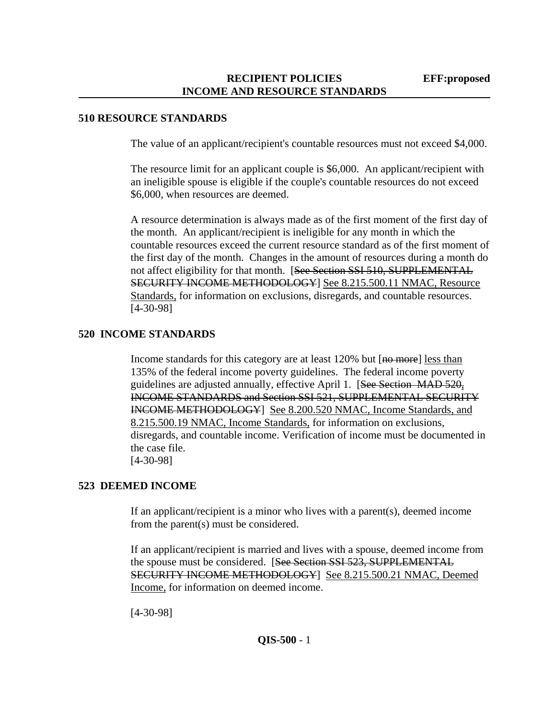## **510 RESOURCE STANDARDS**

The value of an applicant/recipient's countable resources must not exceed \$4,000.

The resource limit for an applicant couple is \$6,000. An applicant/recipient with an ineligible spouse is eligible if the couple's countable resources do not exceed \$6,000, when resources are deemed.

A resource determination is always made as of the first moment of the first day of the month. An applicant/recipient is ineligible for any month in which the countable resources exceed the current resource standard as of the first moment of the first day of the month. Changes in the amount of resources during a month do not affect eligibility for that month. [See Section SSI 510, SUPPLEMENTAL SECURITY INCOME METHODOLOGY] See 8.215.500.11 NMAC, Resource Standards, for information on exclusions, disregards, and countable resources. [4-30-98]

## **520 INCOME STANDARDS**

Income standards for this category are at least 120% but [no more] less than 135% of the federal income poverty guidelines. The federal income poverty guidelines are adjusted annually, effective April 1. [See Section MAD 520, INCOME STANDARDS and Section SSI 521, SUPPLEMENTAL SECURITY INCOME METHODOLOGY] See 8.200.520 NMAC, Income Standards, and 8.215.500.19 NMAC, Income Standards, for information on exclusions, disregards, and countable income. Verification of income must be documented in the case file. [4-30-98]

# **523 DEEMED INCOME**

If an applicant/recipient is a minor who lives with a parent(s), deemed income from the parent(s) must be considered.

If an applicant/recipient is married and lives with a spouse, deemed income from the spouse must be considered. [See Section SSI 523, SUPPLEMENTAL SECURITY INCOME METHODOLOGY] See 8.215.500.21 NMAC, Deemed Income, for information on deemed income.

[4-30-98]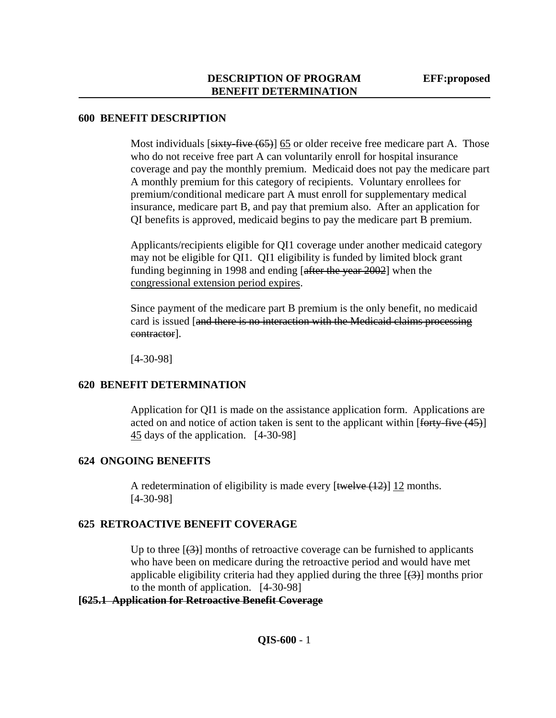#### **600 BENEFIT DESCRIPTION**

Most individuals  $[sixty-five (65)]$  65 or older receive free medicare part A. Those who do not receive free part A can voluntarily enroll for hospital insurance coverage and pay the monthly premium. Medicaid does not pay the medicare part A monthly premium for this category of recipients. Voluntary enrollees for premium/conditional medicare part A must enroll for supplementary medical insurance, medicare part B, and pay that premium also. After an application for QI benefits is approved, medicaid begins to pay the medicare part B premium.

Applicants/recipients eligible for QI1 coverage under another medicaid category may not be eligible for QI1. QI1 eligibility is funded by limited block grant funding beginning in 1998 and ending [after the year 2002] when the congressional extension period expires.

Since payment of the medicare part B premium is the only benefit, no medicaid card is issued [and there is no interaction with the Medicaid claims processing contractor].

[4-30-98]

## **620 BENEFIT DETERMINATION**

Application for QI1 is made on the assistance application form. Applications are acted on and notice of action taken is sent to the applicant within  $\left[$  forty-five (45) $\right]$ 45 days of the application. [4-30-98]

# **624 ONGOING BENEFITS**

A redetermination of eligibility is made every  $[\text{twelve}(12)]$  12 months. [4-30-98]

# **625 RETROACTIVE BENEFIT COVERAGE**

Up to three  $[\frac{1}{3}]$  months of retroactive coverage can be furnished to applicants who have been on medicare during the retroactive period and would have met applicable eligibility criteria had they applied during the three  $[\frac{1}{3}]$  months prior to the month of application. [4-30-98]

## **[625.1 Application for Retroactive Benefit Coverage**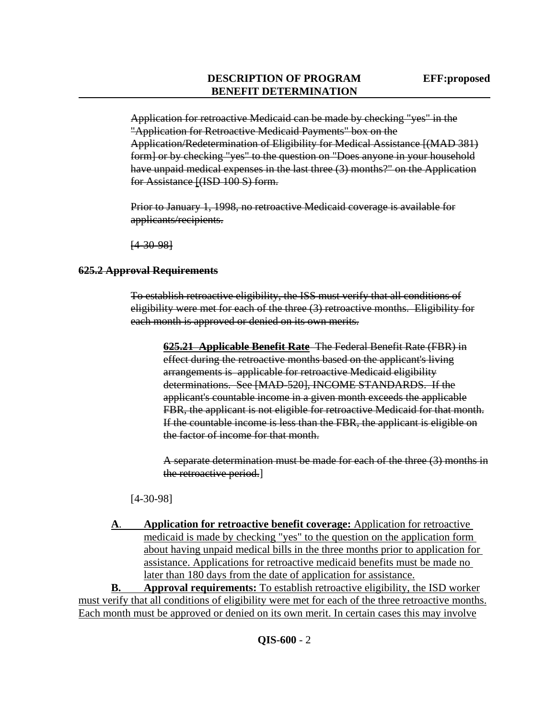Application for retroactive Medicaid can be made by checking "yes" in the "Application for Retroactive Medicaid Payments" box on the Application/Redetermination of Eligibility for Medical Assistance [(MAD 381) form] or by checking "yes" to the question on "Does anyone in your household have unpaid medical expenses in the last three (3) months?" on the Application for Assistance [(ISD 100 S) form.

Prior to January 1, 1998, no retroactive Medicaid coverage is available for applicants/recipients.

[4-30-98]

### **625.2 Approval Requirements**

To establish retroactive eligibility, the ISS must verify that all conditions of eligibility were met for each of the three (3) retroactive months. Eligibility for each month is approved or denied on its own merits.

**625.21 Applicable Benefit Rate** The Federal Benefit Rate (FBR) in effect during the retroactive months based on the applicant's living arrangements is applicable for retroactive Medicaid eligibility determinations. See [MAD-520], INCOME STANDARDS. If the applicant's countable income in a given month exceeds the applicable FBR, the applicant is not eligible for retroactive Medicaid for that month. If the countable income is less than the FBR, the applicant is eligible on the factor of income for that month.

A separate determination must be made for each of the three (3) months in the retroactive period.]

[4-30-98]

**A**. **Application for retroactive benefit coverage:** Application for retroactive medicaid is made by checking "yes" to the question on the application form about having unpaid medical bills in the three months prior to application for assistance. Applications for retroactive medicaid benefits must be made no later than 180 days from the date of application for assistance.

**B. Approval requirements:** To establish retroactive eligibility, the ISD worker must verify that all conditions of eligibility were met for each of the three retroactive months. Each month must be approved or denied on its own merit. In certain cases this may involve